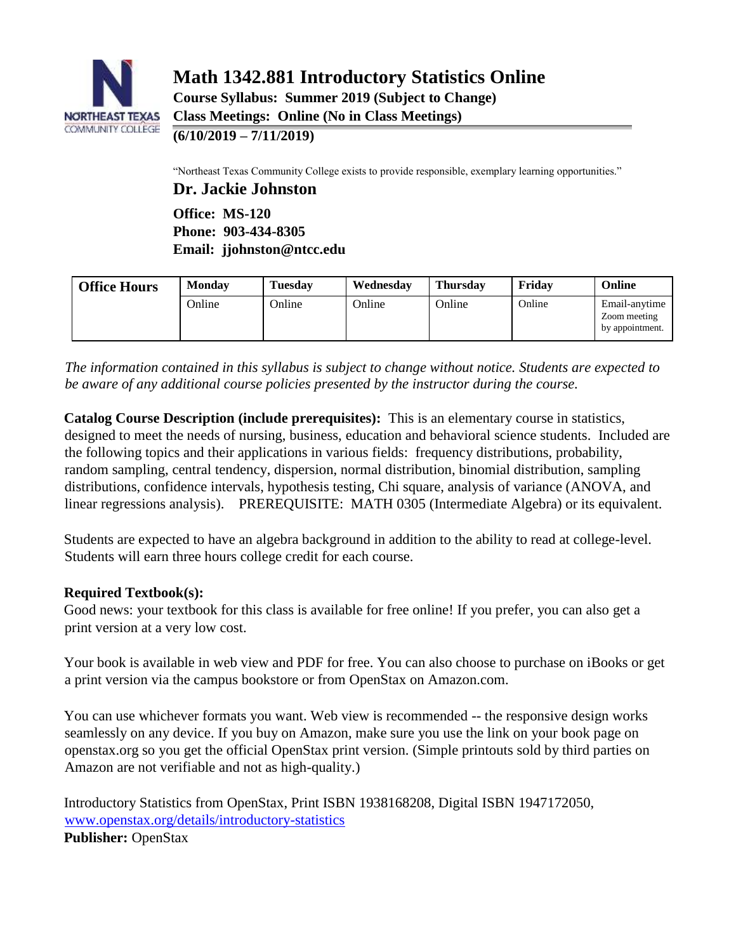

**Math 1342.881 Introductory Statistics Online**

**Course Syllabus: Summer 2019 (Subject to Change)**

**Class Meetings: Online (No in Class Meetings)**

**(6/10/2019 – 7/11/2019)**

"Northeast Texas Community College exists to provide responsible, exemplary learning opportunities."

**Dr. Jackie Johnston Office: MS-120 Phone: 903-434-8305 Email: jjohnston@ntcc.edu** 

| <b>Office Hours</b> | <b>Monday</b> | <b>Tuesday</b> | Wednesday | <b>Thursday</b> | Fridav | Online                                           |
|---------------------|---------------|----------------|-----------|-----------------|--------|--------------------------------------------------|
|                     | Online        | Online         | Online    | Online          | Online | Email-anytime<br>Zoom meeting<br>by appointment. |

*The information contained in this syllabus is subject to change without notice. Students are expected to be aware of any additional course policies presented by the instructor during the course.* 

**Catalog Course Description (include prerequisites):** This is an elementary course in statistics, designed to meet the needs of nursing, business, education and behavioral science students. Included are the following topics and their applications in various fields: frequency distributions, probability, random sampling, central tendency, dispersion, normal distribution, binomial distribution, sampling distributions, confidence intervals, hypothesis testing, Chi square, analysis of variance (ANOVA, and linear regressions analysis). PREREQUISITE: MATH 0305 (Intermediate Algebra) or its equivalent.

Students are expected to have an algebra background in addition to the ability to read at college-level. Students will earn three hours college credit for each course.

#### **Required Textbook(s):**

Good news: your textbook for this class is available for free online! If you prefer, you can also get a print version at a very low cost.

Your book is available in web view and PDF for free. You can also choose to purchase on iBooks or get a print version via the campus bookstore or from OpenStax on Amazon.com.

You can use whichever formats you want. Web view is recommended -- the responsive design works seamlessly on any device. If you buy on Amazon, make sure you use the link on your book page on openstax.org so you get the official OpenStax print version. (Simple printouts sold by third parties on Amazon are not verifiable and not as high-quality.)

Introductory Statistics from OpenStax, Print ISBN 1938168208, Digital ISBN 1947172050, [www.openstax.org/details/introductory-statistics](http://www.openstax.org/details/introductory-statistics) **Publisher:** OpenStax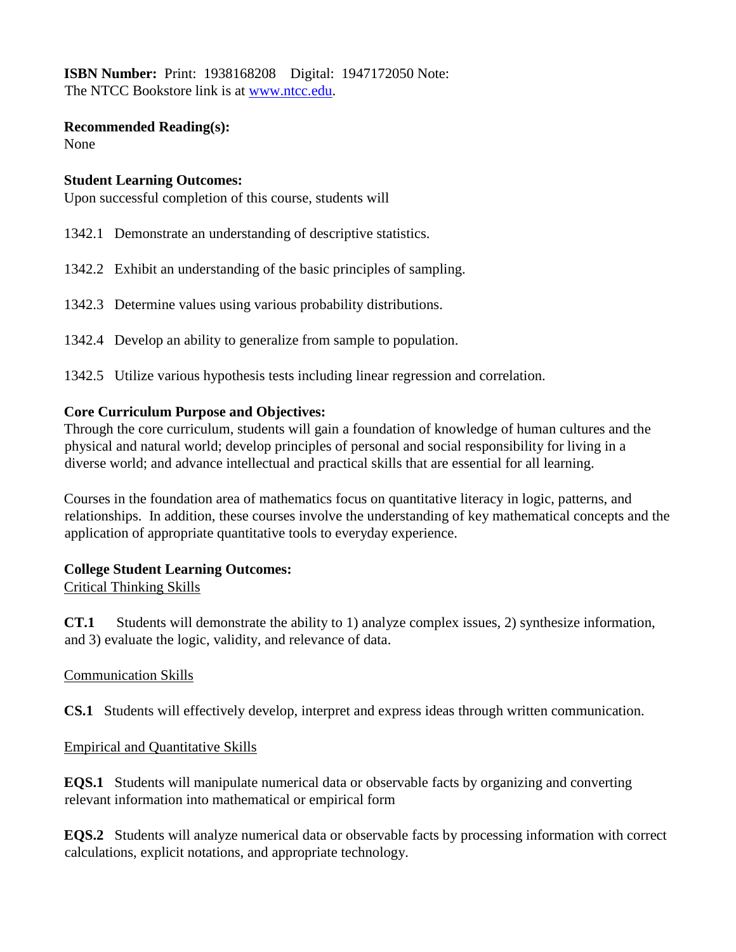**ISBN Number:** Print:1938168208 Digital: 1947172050 Note: The NTCC Bookstore link is at [www.ntcc.edu.](http://www.ntcc.edu/)

#### **Recommended Reading(s):**

None

### **Student Learning Outcomes:**

Upon successful completion of this course, students will

- 1342.1 Demonstrate an understanding of descriptive statistics.
- 1342.2 Exhibit an understanding of the basic principles of sampling.
- 1342.3 Determine values using various probability distributions.
- 1342.4 Develop an ability to generalize from sample to population.
- 1342.5 Utilize various hypothesis tests including linear regression and correlation.

## **Core Curriculum Purpose and Objectives:**

Through the core curriculum, students will gain a foundation of knowledge of human cultures and the physical and natural world; develop principles of personal and social responsibility for living in a diverse world; and advance intellectual and practical skills that are essential for all learning.

Courses in the foundation area of mathematics focus on quantitative literacy in logic, patterns, and relationships. In addition, these courses involve the understanding of key mathematical concepts and the application of appropriate quantitative tools to everyday experience.

## **College Student Learning Outcomes:**

## Critical Thinking Skills

**CT.1** Students will demonstrate the ability to 1) analyze complex issues, 2) synthesize information, and 3) evaluate the logic, validity, and relevance of data.

## Communication Skills

**CS.1** Students will effectively develop, interpret and express ideas through written communication.

## Empirical and Quantitative Skills

**EQS.1** Students will manipulate numerical data or observable facts by organizing and converting relevant information into mathematical or empirical form

**EQS.2** Students will analyze numerical data or observable facts by processing information with correct calculations, explicit notations, and appropriate technology.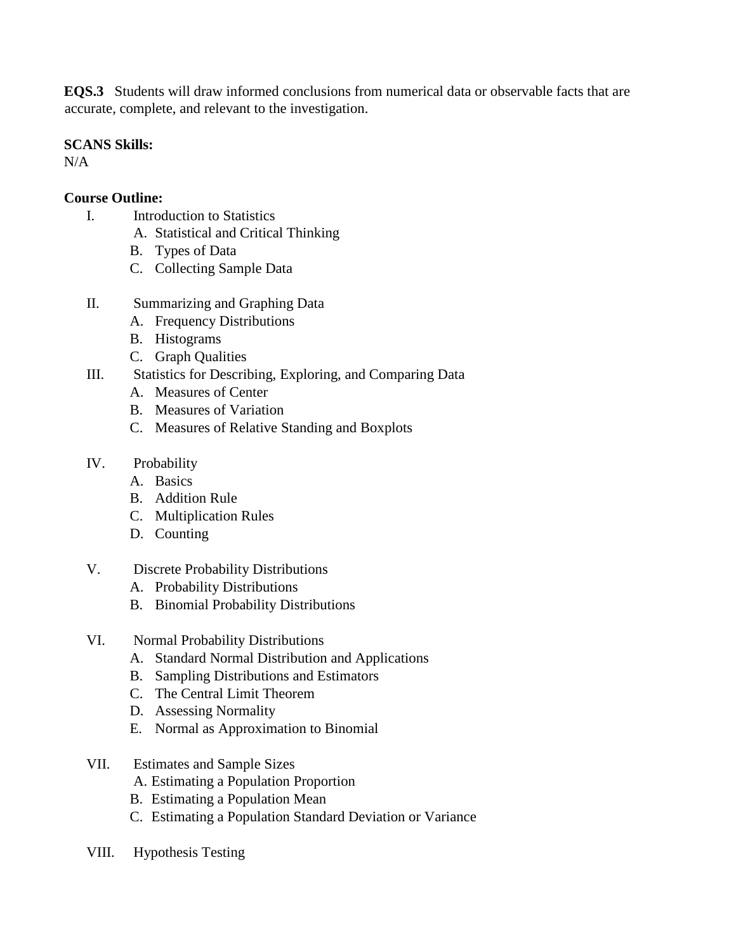**EQS.3** Students will draw informed conclusions from numerical data or observable facts that are accurate, complete, and relevant to the investigation.

#### **SCANS Skills:**

 $N/A$ 

## **Course Outline:**

- I. Introduction to Statistics
	- A. Statistical and Critical Thinking
	- B. Types of Data
	- C. Collecting Sample Data
- II. Summarizing and Graphing Data
	- A. Frequency Distributions
	- B. Histograms
	- C. Graph Qualities
- III. Statistics for Describing, Exploring, and Comparing Data
	- A. Measures of Center
	- B. Measures of Variation
	- C. Measures of Relative Standing and Boxplots

## IV. Probability

- A. Basics
- B. Addition Rule
- C. Multiplication Rules
- D. Counting
- V. Discrete Probability Distributions
	- A. Probability Distributions
	- B. Binomial Probability Distributions
- VI. Normal Probability Distributions
	- A. Standard Normal Distribution and Applications
	- B. Sampling Distributions and Estimators
	- C. The Central Limit Theorem
	- D. Assessing Normality
	- E. Normal as Approximation to Binomial
- VII. Estimates and Sample Sizes
	- A. Estimating a Population Proportion
	- B. Estimating a Population Mean
	- C. Estimating a Population Standard Deviation or Variance
- VIII. Hypothesis Testing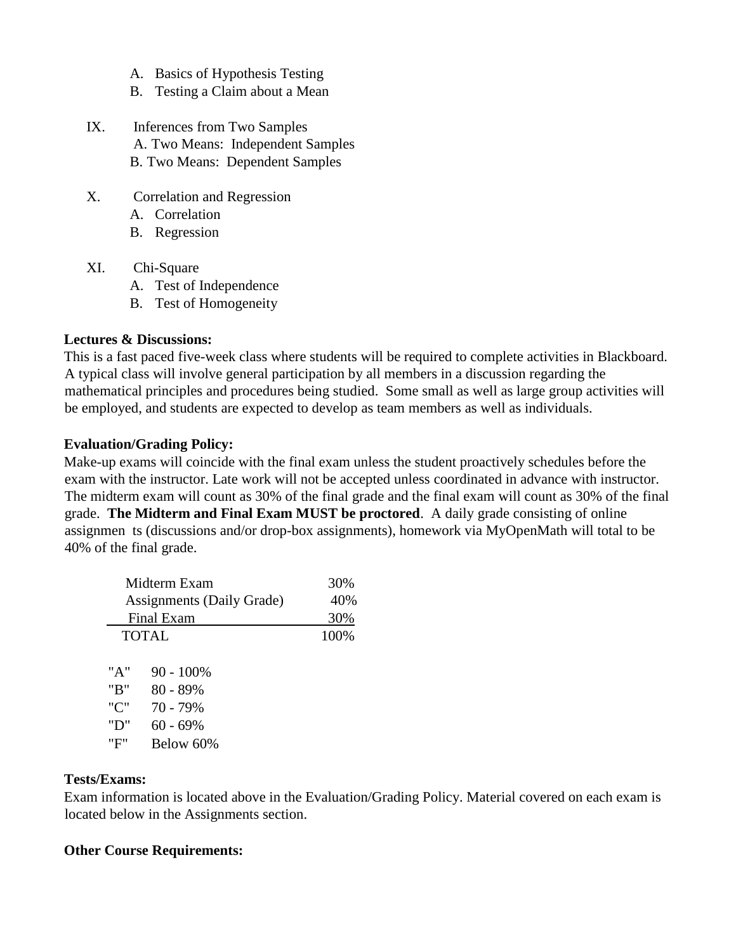- A. Basics of Hypothesis Testing
- B. Testing a Claim about a Mean
- IX. Inferences from Two Samples A. Two Means: Independent Samples B. Two Means: Dependent Samples
- X. Correlation and Regression
	- A. Correlation
	- B. Regression
- XI. Chi-Square
	- A. Test of Independence
	- B. Test of Homogeneity

#### **Lectures & Discussions:**

This is a fast paced five-week class where students will be required to complete activities in Blackboard. A typical class will involve general participation by all members in a discussion regarding the mathematical principles and procedures being studied. Some small as well as large group activities will be employed, and students are expected to develop as team members as well as individuals.

#### **Evaluation/Grading Policy:**

Make-up exams will coincide with the final exam unless the student proactively schedules before the exam with the instructor. Late work will not be accepted unless coordinated in advance with instructor. The midterm exam will count as 30% of the final grade and the final exam will count as 30% of the final grade. **The Midterm and Final Exam MUST be proctored**. A daily grade consisting of online assignmen ts (discussions and/or drop-box assignments), homework via MyOpenMath will total to be 40% of the final grade.

| Midterm Exam                    | 30%                                                                 |  |
|---------------------------------|---------------------------------------------------------------------|--|
| Assignments (Daily Grade)       | 40%                                                                 |  |
| Final Exam                      | 30%                                                                 |  |
| <b>TOTAL</b>                    | 100%                                                                |  |
| "A"<br>"B"<br>"C"<br>"D"<br>"F" | $90 - 100\%$<br>$80 - 89\%$<br>70 - 79%<br>$60 - 69\%$<br>Below 60% |  |

#### **Tests/Exams:**

Exam information is located above in the Evaluation/Grading Policy. Material covered on each exam is located below in the Assignments section.

## **Other Course Requirements:**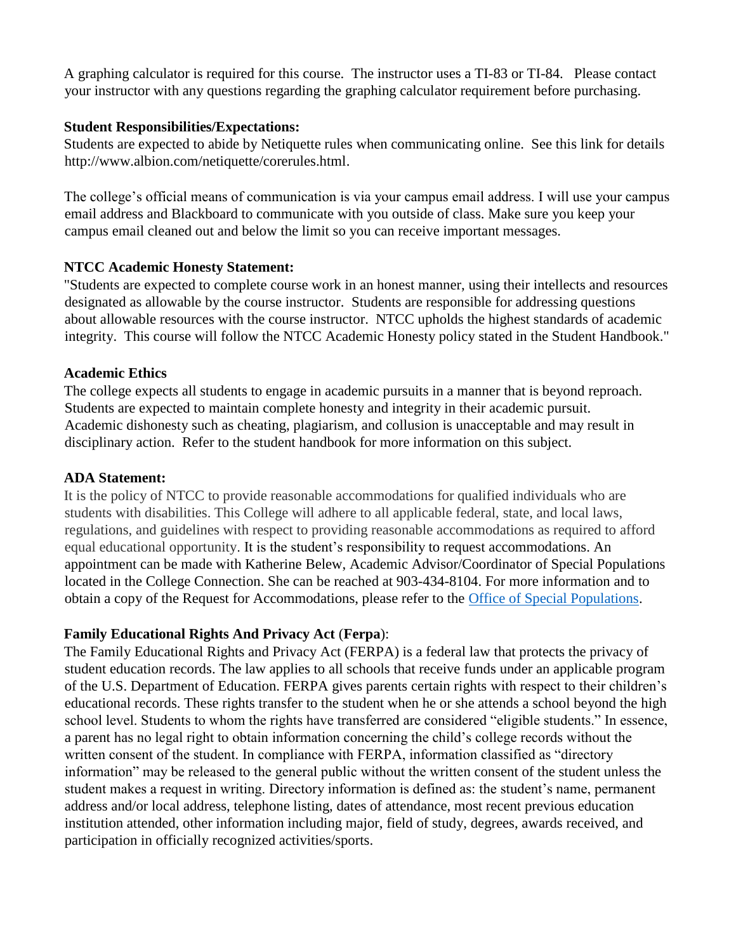A graphing calculator is required for this course. The instructor uses a TI-83 or TI-84. Please contact your instructor with any questions regarding the graphing calculator requirement before purchasing.

#### **Student Responsibilities/Expectations:**

Students are expected to abide by Netiquette rules when communicating online. See this link for details http://www.albion.com/netiquette/corerules.html.

The college's official means of communication is via your campus email address. I will use your campus email address and Blackboard to communicate with you outside of class. Make sure you keep your campus email cleaned out and below the limit so you can receive important messages.

#### **NTCC Academic Honesty Statement:**

"Students are expected to complete course work in an honest manner, using their intellects and resources designated as allowable by the course instructor. Students are responsible for addressing questions about allowable resources with the course instructor. NTCC upholds the highest standards of academic integrity. This course will follow the NTCC Academic Honesty policy stated in the Student Handbook."

#### **Academic Ethics**

The college expects all students to engage in academic pursuits in a manner that is beyond reproach. Students are expected to maintain complete honesty and integrity in their academic pursuit. Academic dishonesty such as cheating, plagiarism, and collusion is unacceptable and may result in disciplinary action. Refer to the student handbook for more information on this subject.

#### **ADA Statement:**

It is the policy of NTCC to provide reasonable accommodations for qualified individuals who are students with disabilities. This College will adhere to all applicable federal, state, and local laws, regulations, and guidelines with respect to providing reasonable accommodations as required to afford equal educational opportunity. It is the student's responsibility to request accommodations. An appointment can be made with Katherine Belew, Academic Advisor/Coordinator of Special Populations located in the College Connection. She can be reached at 903-434-8104. For more information and to obtain a copy of the Request for Accommodations, please refer to the [Office of Special Populations.](https://www.ntcc.edu/student-services/special-populations/contact-office-special-populations)

## **Family Educational Rights And Privacy Act** (**Ferpa**):

The Family Educational Rights and Privacy Act (FERPA) is a federal law that protects the privacy of student education records. The law applies to all schools that receive funds under an applicable program of the U.S. Department of Education. FERPA gives parents certain rights with respect to their children's educational records. These rights transfer to the student when he or she attends a school beyond the high school level. Students to whom the rights have transferred are considered "eligible students." In essence, a parent has no legal right to obtain information concerning the child's college records without the written consent of the student. In compliance with FERPA, information classified as "directory information" may be released to the general public without the written consent of the student unless the student makes a request in writing. Directory information is defined as: the student's name, permanent address and/or local address, telephone listing, dates of attendance, most recent previous education institution attended, other information including major, field of study, degrees, awards received, and participation in officially recognized activities/sports.